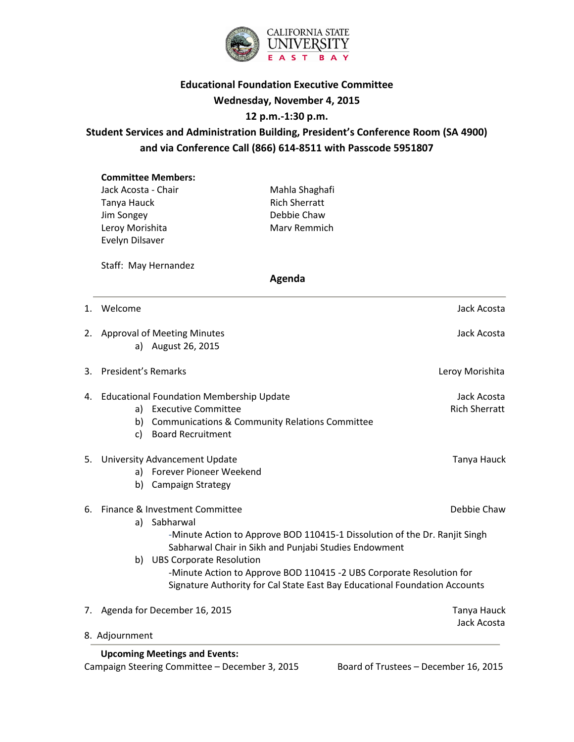

## **Educational Foundation Executive Committee Wednesday, November 4, 2015**

## **12 p.m.-1:30 p.m.**

# **Student Services and Administration Building, President's Conference Room (SA 4900) and via Conference Call (866) 614-8511 with Passcode 5951807**

| <b>Committee Members:</b> |                      |
|---------------------------|----------------------|
| Jack Acosta - Chair       | Mahla Shaghafi       |
| Tanya Hauck               | <b>Rich Sherratt</b> |
| Jim Songey                | Debbie Chaw          |
| Leroy Morishita           | Mary Remmich         |
| Evelyn Dilsaver           |                      |

Staff: May Hernandez

#### **Agenda**

| 8. Adjournment                                                                                                                                                                                                                             |                                     |
|--------------------------------------------------------------------------------------------------------------------------------------------------------------------------------------------------------------------------------------------|-------------------------------------|
| 7. Agenda for December 16, 2015                                                                                                                                                                                                            | Tanya Hauck<br>Jack Acosta          |
| Sabharwal Chair in Sikh and Punjabi Studies Endowment<br>b) UBS Corporate Resolution<br>-Minute Action to Approve BOD 110415 -2 UBS Corporate Resolution for<br>Signature Authority for Cal State East Bay Educational Foundation Accounts |                                     |
| 6. Finance & Investment Committee<br>a) Sabharwal<br>-Minute Action to Approve BOD 110415-1 Dissolution of the Dr. Ranjit Singh                                                                                                            | Debbie Chaw                         |
| 5. University Advancement Update<br>a) Forever Pioneer Weekend<br><b>Campaign Strategy</b><br>b)                                                                                                                                           | Tanya Hauck                         |
| 4. Educational Foundation Membership Update<br>a) Executive Committee<br><b>Communications &amp; Community Relations Committee</b><br>b)<br><b>Board Recruitment</b><br>C)                                                                 | Jack Acosta<br><b>Rich Sherratt</b> |
| 3. President's Remarks                                                                                                                                                                                                                     | Leroy Morishita                     |
| 2. Approval of Meeting Minutes<br>a) August 26, 2015                                                                                                                                                                                       | Jack Acosta                         |
| 1. Welcome                                                                                                                                                                                                                                 | Jack Acosta                         |

 **Upcoming Meetings and Events:** Campaign Steering Committee – December 3, 2015 Board of Trustees – December 16, 2015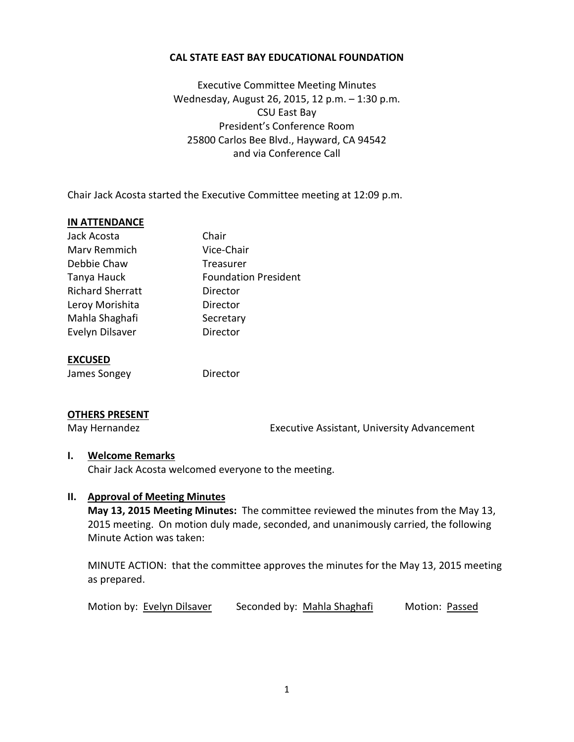## **CAL STATE EAST BAY EDUCATIONAL FOUNDATION**

Executive Committee Meeting Minutes Wednesday, August 26, 2015, 12 p.m. – 1:30 p.m. CSU East Bay President's Conference Room 25800 Carlos Bee Blvd., Hayward, CA 94542 and via Conference Call

Chair Jack Acosta started the Executive Committee meeting at 12:09 p.m.

#### **IN ATTENDANCE**

| Jack Acosta             | Chair                       |
|-------------------------|-----------------------------|
| Mary Remmich            | Vice-Chair                  |
| Debbie Chaw             | Treasurer                   |
| Tanya Hauck             | <b>Foundation President</b> |
| <b>Richard Sherratt</b> | Director                    |
| Leroy Morishita         | Director                    |
| Mahla Shaghafi          | Secretary                   |
| Evelyn Dilsaver         | Director                    |
|                         |                             |

#### **EXCUSED**

James Songey **Director** 

#### **OTHERS PRESENT**

May Hernandez **Executive Assistant, University Advancement** 

#### **I. Welcome Remarks**

Chair Jack Acosta welcomed everyone to the meeting.

#### **II. Approval of Meeting Minutes**

**May 13, 2015 Meeting Minutes:** The committee reviewed the minutes from the May 13, 2015 meeting. On motion duly made, seconded, and unanimously carried, the following Minute Action was taken:

MINUTE ACTION: that the committee approves the minutes for the May 13, 2015 meeting as prepared.

Motion by: Evelyn Dilsaver Seconded by: Mahla Shaghafi Motion: Passed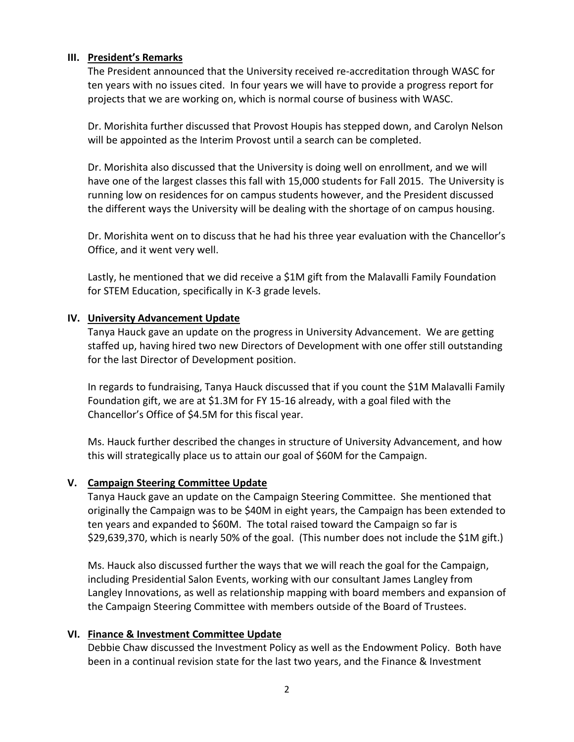## **III. President's Remarks**

The President announced that the University received re-accreditation through WASC for ten years with no issues cited. In four years we will have to provide a progress report for projects that we are working on, which is normal course of business with WASC.

Dr. Morishita further discussed that Provost Houpis has stepped down, and Carolyn Nelson will be appointed as the Interim Provost until a search can be completed.

Dr. Morishita also discussed that the University is doing well on enrollment, and we will have one of the largest classes this fall with 15,000 students for Fall 2015. The University is running low on residences for on campus students however, and the President discussed the different ways the University will be dealing with the shortage of on campus housing.

Dr. Morishita went on to discuss that he had his three year evaluation with the Chancellor's Office, and it went very well.

Lastly, he mentioned that we did receive a \$1M gift from the Malavalli Family Foundation for STEM Education, specifically in K-3 grade levels.

## **IV. University Advancement Update**

Tanya Hauck gave an update on the progress in University Advancement. We are getting staffed up, having hired two new Directors of Development with one offer still outstanding for the last Director of Development position.

In regards to fundraising, Tanya Hauck discussed that if you count the \$1M Malavalli Family Foundation gift, we are at \$1.3M for FY 15-16 already, with a goal filed with the Chancellor's Office of \$4.5M for this fiscal year.

Ms. Hauck further described the changes in structure of University Advancement, and how this will strategically place us to attain our goal of \$60M for the Campaign.

## **V. Campaign Steering Committee Update**

Tanya Hauck gave an update on the Campaign Steering Committee. She mentioned that originally the Campaign was to be \$40M in eight years, the Campaign has been extended to ten years and expanded to \$60M. The total raised toward the Campaign so far is \$29,639,370, which is nearly 50% of the goal. (This number does not include the \$1M gift.)

Ms. Hauck also discussed further the ways that we will reach the goal for the Campaign, including Presidential Salon Events, working with our consultant James Langley from Langley Innovations, as well as relationship mapping with board members and expansion of the Campaign Steering Committee with members outside of the Board of Trustees.

## **VI. Finance & Investment Committee Update**

Debbie Chaw discussed the Investment Policy as well as the Endowment Policy. Both have been in a continual revision state for the last two years, and the Finance & Investment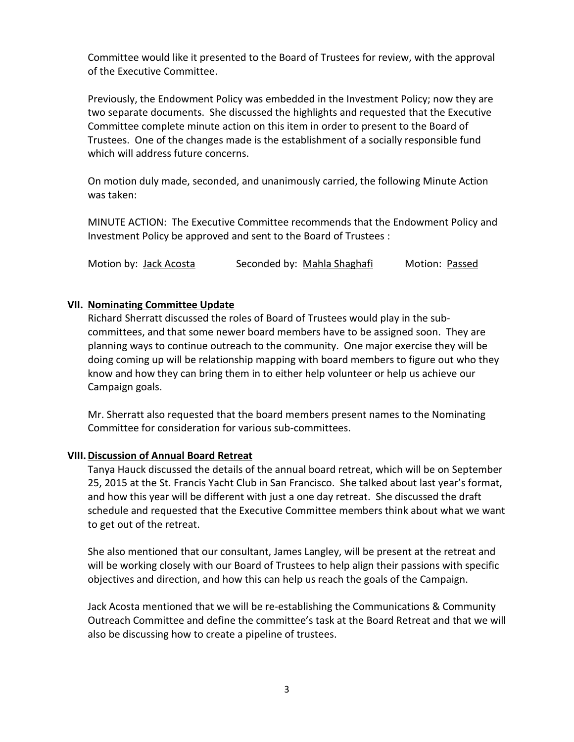Committee would like it presented to the Board of Trustees for review, with the approval of the Executive Committee.

Previously, the Endowment Policy was embedded in the Investment Policy; now they are two separate documents. She discussed the highlights and requested that the Executive Committee complete minute action on this item in order to present to the Board of Trustees. One of the changes made is the establishment of a socially responsible fund which will address future concerns.

On motion duly made, seconded, and unanimously carried, the following Minute Action was taken:

MINUTE ACTION: The Executive Committee recommends that the Endowment Policy and Investment Policy be approved and sent to the Board of Trustees :

Motion by: Jack Acosta Seconded by: Mahla Shaghafi Motion: Passed

## **VII. Nominating Committee Update**

Richard Sherratt discussed the roles of Board of Trustees would play in the subcommittees, and that some newer board members have to be assigned soon. They are planning ways to continue outreach to the community. One major exercise they will be doing coming up will be relationship mapping with board members to figure out who they know and how they can bring them in to either help volunteer or help us achieve our Campaign goals.

Mr. Sherratt also requested that the board members present names to the Nominating Committee for consideration for various sub-committees.

## **VIII.Discussion of Annual Board Retreat**

Tanya Hauck discussed the details of the annual board retreat, which will be on September 25, 2015 at the St. Francis Yacht Club in San Francisco. She talked about last year's format, and how this year will be different with just a one day retreat. She discussed the draft schedule and requested that the Executive Committee members think about what we want to get out of the retreat.

She also mentioned that our consultant, James Langley, will be present at the retreat and will be working closely with our Board of Trustees to help align their passions with specific objectives and direction, and how this can help us reach the goals of the Campaign.

Jack Acosta mentioned that we will be re-establishing the Communications & Community Outreach Committee and define the committee's task at the Board Retreat and that we will also be discussing how to create a pipeline of trustees.